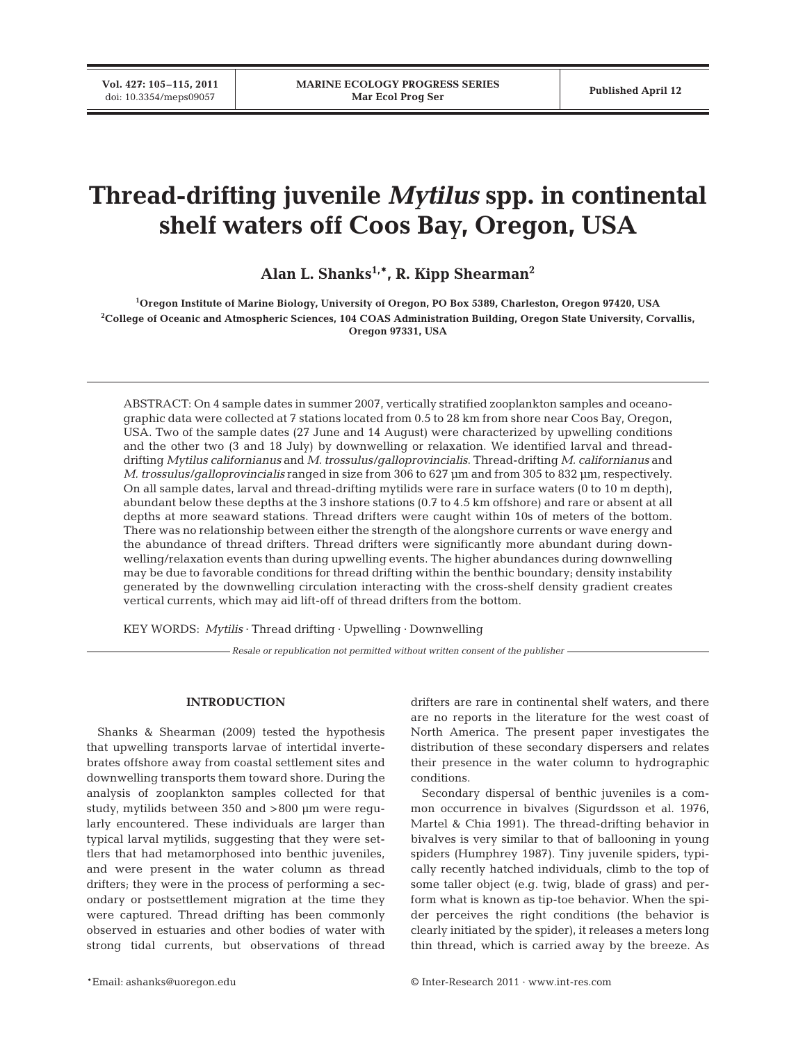**Vol. 427: 105–115, 2011**

# **Thread-drifting juvenile** *Mytilus* **spp. in continental shelf waters off Coos Bay, Oregon, USA**

Alan L. Shanks<sup>1,\*</sup>, R. Kipp Shearman<sup>2</sup>

**1 Oregon Institute of Marine Biology, University of Oregon, PO Box 5389, Charleston, Oregon 97420, USA 2 College of Oceanic and Atmospheric Sciences, 104 COAS Administration Building, Oregon State University, Corvallis, Oregon 97331, USA**

ABSTRACT: On 4 sample dates in summer 2007, vertically stratified zooplankton samples and oceanographic data were collected at 7 stations located from 0.5 to 28 km from shore near Coos Bay, Oregon, USA. Two of the sample dates (27 June and 14 August) were characterized by upwelling conditions and the other two (3 and 18 July) by downwelling or relaxation. We identified larval and threaddrifting *Mytilus californianus* and *M. trossulus/galloprovincialis*. Thread-drifting *M. californianus* and *M. trossulus/galloprovincialis* ranged in size from 306 to 627 μm and from 305 to 832 μm, respectively. On all sample dates, larval and thread-drifting mytilids were rare in surface waters (0 to 10 m depth), abundant below these depths at the 3 inshore stations (0.7 to 4.5 km offshore) and rare or absent at all depths at more seaward stations. Thread drifters were caught within 10s of meters of the bottom. There was no relationship between either the strength of the alongshore currents or wave energy and the abundance of thread drifters. Thread drifters were significantly more abundant during downwelling/relaxation events than during upwelling events. The higher abundances during downwelling may be due to favorable conditions for thread drifting within the benthic boundary; density instability generated by the downwelling circulation interacting with the cross-shelf density gradient creates vertical currents, which may aid lift-off of thread drifters from the bottom.

KEY WORDS: *Mytilis* · Thread drifting · Upwelling · Downwelling

*Resale or republication not permitted without written consent of the publisher*

## **INTRODUCTION**

Shanks & Shearman (2009) tested the hypothesis that upwelling transports larvae of intertidal invertebrates offshore away from coastal settlement sites and downwelling transports them toward shore. During the analysis of zooplankton samples collected for that study, mytilids between 350 and >800 μm were regularly encountered. These individuals are larger than typical larval mytilids, suggesting that they were settlers that had metamorphosed into benthic juveniles, and were present in the water column as thread drifters; they were in the process of performing a secondary or postsettlement migration at the time they were captured. Thread drifting has been commonly observed in estuaries and other bodies of water with strong tidal currents, but observations of thread

drifters are rare in continental shelf waters, and there are no reports in the literature for the west coast of North America. The present paper investigates the distribution of these secondary dispersers and relates their presence in the water column to hydrographic conditions.

Secondary dispersal of benthic juveniles is a common occurrence in bivalves (Sigurdsson et al. 1976, Martel & Chia 1991). The thread-drifting behavior in bivalves is very similar to that of ballooning in young spiders (Humphrey 1987). Tiny juvenile spiders, typically recently hatched individuals, climb to the top of some taller object (e.g. twig, blade of grass) and perform what is known as tip-toe behavior. When the spider perceives the right conditions (the behavior is clearly initiated by the spider), it releases a meters long thin thread, which is carried away by the breeze. As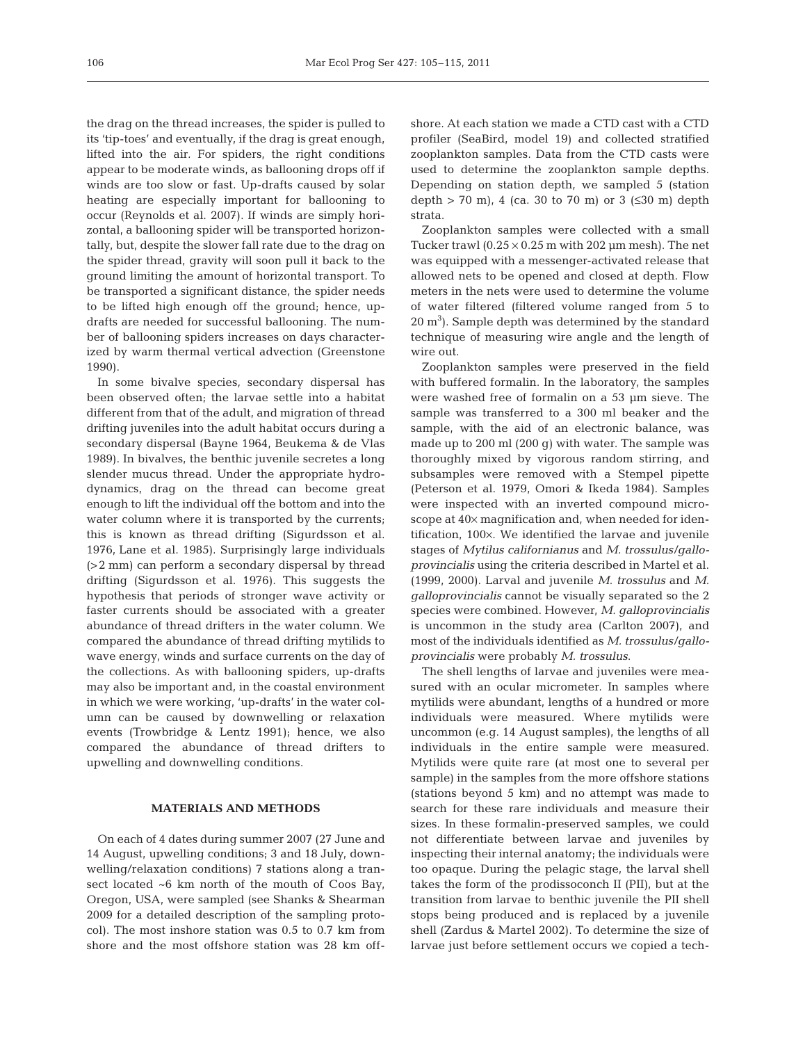the drag on the thread increases, the spider is pulled to its 'tip-toes' and eventually, if the drag is great enough, lifted into the air. For spiders, the right conditions appear to be moderate winds, as ballooning drops off if winds are too slow or fast. Up-drafts caused by solar heating are especially important for ballooning to occur (Reynolds et al. 2007). If winds are simply horizontal, a ballooning spider will be transported horizontally, but, despite the slower fall rate due to the drag on the spider thread, gravity will soon pull it back to the ground limiting the amount of horizontal transport. To be transported a significant distance, the spider needs to be lifted high enough off the ground; hence, updrafts are needed for successful ballooning. The number of ballooning spiders increases on days characterized by warm thermal vertical advection (Greenstone 1990).

In some bivalve species, secondary dispersal has been observed often; the larvae settle into a habitat different from that of the adult, and migration of thread drifting juveniles into the adult habitat occurs during a secondary dispersal (Bayne 1964, Beukema & de Vlas 1989). In bivalves, the benthic juvenile secretes a long slender mucus thread. Under the appropriate hydrodynamics, drag on the thread can become great enough to lift the individual off the bottom and into the water column where it is transported by the currents; this is known as thread drifting (Sigurdsson et al. 1976, Lane et al. 1985). Surprisingly large individuals (>2 mm) can perform a secondary dispersal by thread drifting (Sigurdsson et al. 1976). This suggests the hypothesis that periods of stronger wave activity or faster currents should be associated with a greater abundance of thread drifters in the water column. We compared the abundance of thread drifting mytilids to wave energy, winds and surface currents on the day of the collections. As with ballooning spiders, up-drafts may also be important and, in the coastal environment in which we were working, 'up-drafts' in the water column can be caused by downwelling or relaxation events (Trowbridge & Lentz 1991); hence, we also compared the abundance of thread drifters to upwelling and downwelling conditions.

### **MATERIALS AND METHODS**

On each of 4 dates during summer 2007 (27 June and 14 August, upwelling conditions; 3 and 18 July, downwelling/relaxation conditions) 7 stations along a transect located ~6 km north of the mouth of Coos Bay, Oregon, USA, were sampled (see Shanks & Shearman 2009 for a detailed description of the sampling protocol). The most inshore station was 0.5 to 0.7 km from shore and the most offshore station was 28 km offshore. At each station we made a CTD cast with a CTD profiler (SeaBird, model 19) and collected stratified zooplankton samples. Data from the CTD casts were used to determine the zooplankton sample depths. Depending on station depth, we sampled 5 (station depth > 70 m), 4 (ca. 30 to 70 m) or 3 ( $\leq 30$  m) depth strata.

Zooplankton samples were collected with a small Tucker trawl  $(0.25 \times 0.25 \text{ m with } 202 \text{ µm mesh})$ . The net was equipped with a messenger-activated release that allowed nets to be opened and closed at depth. Flow meters in the nets were used to determine the volume of water filtered (filtered volume ranged from 5 to  $20 \text{ m}^3$ ). Sample depth was determined by the standard technique of measuring wire angle and the length of wire out.

Zooplankton samples were preserved in the field with buffered formalin. In the laboratory, the samples were washed free of formalin on a 53 μm sieve. The sample was transferred to a 300 ml beaker and the sample, with the aid of an electronic balance, was made up to 200 ml (200 g) with water. The sample was thoroughly mixed by vigorous random stirring, and subsamples were removed with a Stempel pipette (Peterson et al. 1979, Omori & Ikeda 1984). Samples were inspected with an inverted compound microscope at 40× magnification and, when needed for identification, 100×. We identified the larvae and juvenile stages of *Mytilus californianus* and *M. trossulus/galloprovincialis* using the criteria described in Martel et al. (1999, 2000). Larval and juvenile *M. trossulus* and *M. galloprovincialis* cannot be visually separated so the 2 species were combined. However, *M. galloprovincialis* is uncommon in the study area (Carlton 2007), and most of the individuals identified as *M. trossulus/galloprovincialis* were probably *M. trossulus*.

The shell lengths of larvae and juveniles were measured with an ocular micrometer. In samples where mytilids were abundant, lengths of a hundred or more individuals were measured. Where mytilids were uncommon (e.g. 14 August samples), the lengths of all individuals in the entire sample were measured. Mytilids were quite rare (at most one to several per sample) in the samples from the more offshore stations (stations beyond 5 km) and no attempt was made to search for these rare individuals and measure their sizes. In these formalin-preserved samples, we could not differentiate between larvae and juveniles by inspecting their internal anatomy; the individuals were too opaque. During the pelagic stage, the larval shell takes the form of the prodissoconch II (PII), but at the transition from larvae to benthic juvenile the PII shell stops being produced and is replaced by a juvenile shell (Zardus & Martel 2002). To determine the size of larvae just before settlement occurs we copied a tech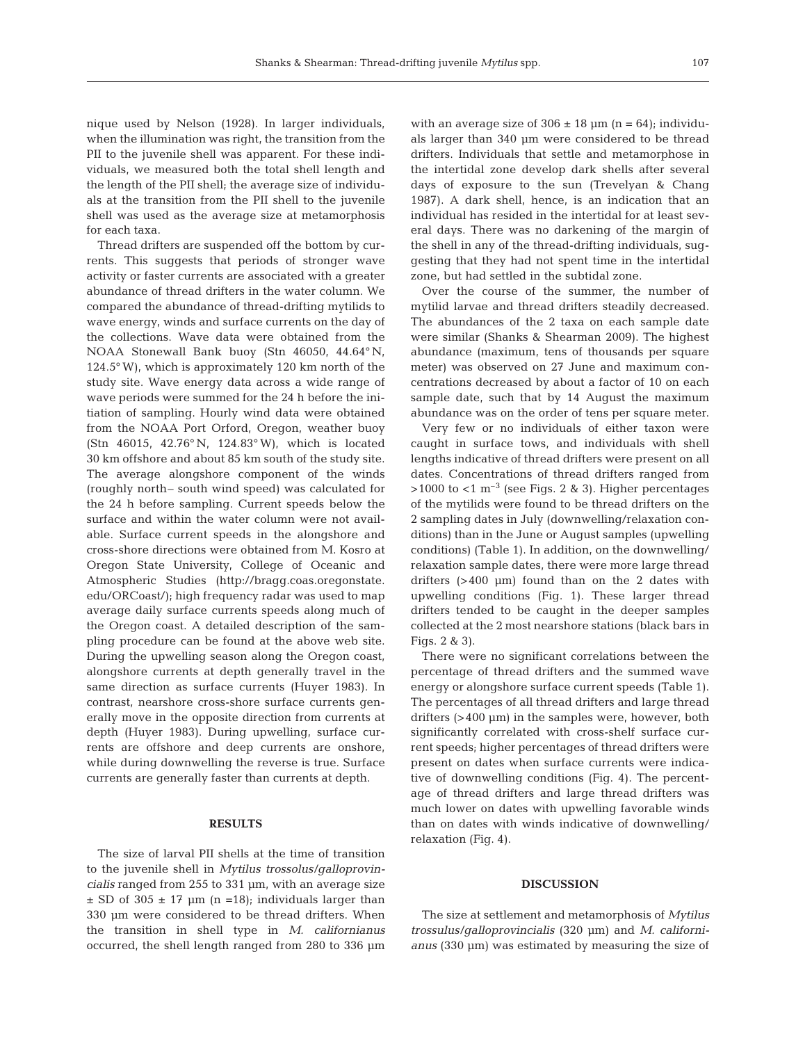nique used by Nelson (1928). In larger individuals, when the illumination was right, the transition from the PII to the juvenile shell was apparent. For these individuals, we measured both the total shell length and the length of the PII shell; the average size of individuals at the transition from the PII shell to the juvenile shell was used as the average size at metamorphosis for each taxa.

Thread drifters are suspended off the bottom by currents. This suggests that periods of stronger wave activity or faster currents are associated with a greater abundance of thread drifters in the water column. We compared the abundance of thread-drifting mytilids to wave energy, winds and surface currents on the day of the collections. Wave data were obtained from the NOAA Stonewall Bank buoy (Stn 46050, 44.64° N, 124.5° W), which is approximately 120 km north of the study site. Wave energy data across a wide range of wave periods were summed for the 24 h before the initiation of sampling. Hourly wind data were obtained from the NOAA Port Orford, Oregon, weather buoy (Stn 46015, 42.76° N, 124.83° W), which is located 30 km offshore and about 85 km south of the study site. The average alongshore component of the winds (roughly north– south wind speed) was calculated for the 24 h before sampling. Current speeds below the surface and within the water column were not available. Surface current speeds in the alongshore and cross-shore directions were obtained from M. Kosro at Oregon State University, College of Oceanic and Atmospheric Studies (http://bragg.coas.oregonstate. edu/ORCoast/); high frequency radar was used to map average daily surface currents speeds along much of the Oregon coast. A detailed description of the sampling procedure can be found at the above web site. During the upwelling season along the Oregon coast, alongshore currents at depth generally travel in the same direction as surface currents (Huyer 1983). In contrast, nearshore cross-shore surface currents generally move in the opposite direction from currents at depth (Huyer 1983). During upwelling, surface currents are offshore and deep currents are onshore, while during downwelling the reverse is true. Surface currents are generally faster than currents at depth.

#### **RESULTS**

The size of larval PII shells at the time of transition to the juvenile shell in *Mytilus trossolus/galloprovincialis* ranged from 255 to 331 μm, with an average size  $\pm$  SD of 305  $\pm$  17 µm (n =18); individuals larger than 330 μm were considered to be thread drifters. When the transition in shell type in *M. californianus* occurred, the shell length ranged from 280 to 336 μm with an average size of  $306 \pm 18$  µm (n = 64); individuals larger than 340 μm were considered to be thread drifters. Individuals that settle and metamorphose in the intertidal zone develop dark shells after several days of exposure to the sun (Trevelyan & Chang 1987). A dark shell, hence, is an indication that an individual has resided in the intertidal for at least several days. There was no darkening of the margin of the shell in any of the thread-drifting individuals, suggesting that they had not spent time in the intertidal zone, but had settled in the subtidal zone.

Over the course of the summer, the number of mytilid larvae and thread drifters steadily decreased. The abundances of the 2 taxa on each sample date were similar (Shanks & Shearman 2009). The highest abundance (maximum, tens of thousands per square meter) was observed on 27 June and maximum concentrations decreased by about a factor of 10 on each sample date, such that by 14 August the maximum abundance was on the order of tens per square meter.

Very few or no individuals of either taxon were caught in surface tows, and individuals with shell lengths indicative of thread drifters were present on all dates. Concentrations of thread drifters ranged from  $>1000$  to <1 m<sup>-3</sup> (see Figs. 2 & 3). Higher percentages of the mytilids were found to be thread drifters on the 2 sampling dates in July (downwelling/relaxation conditions) than in the June or August samples (upwelling conditions) (Table 1). In addition, on the downwelling/ relaxation sample dates, there were more large thread drifters (>400 μm) found than on the 2 dates with upwelling conditions (Fig. 1). These larger thread drifters tended to be caught in the deeper samples collected at the 2 most nearshore stations (black bars in Figs. 2 & 3).

There were no significant correlations between the percentage of thread drifters and the summed wave energy or alongshore surface current speeds (Table 1). The percentages of all thread drifters and large thread drifters (>400 μm) in the samples were, however, both significantly correlated with cross-shelf surface current speeds; higher percentages of thread drifters were present on dates when surface currents were indicative of downwelling conditions (Fig. 4). The percentage of thread drifters and large thread drifters was much lower on dates with upwelling favorable winds than on dates with winds indicative of downwelling/ relaxation (Fig. 4).

#### **DISCUSSION**

The size at settlement and metamorphosis of *Mytilus trossulus/galloprovincialis* (320 μm) and *M. californianus* (330 μm) was estimated by measuring the size of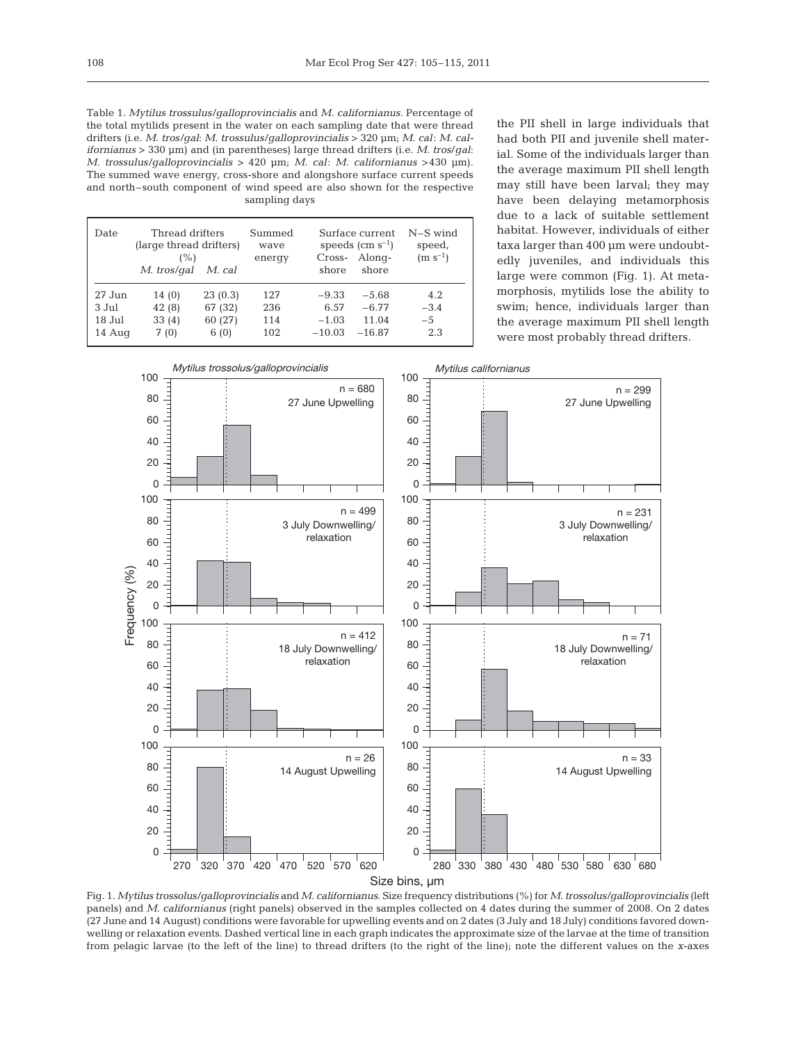Table 1. *Mytilus trossulus/galloprovincialis* and *M. californianus*. Percentage of the total mytilids present in the water on each sampling date that were thread drifters (i.e. *M. tros/gal*: *M. trossulus/galloprovincialis* > 320 μm; *M. cal*: *M. californianus* > 330 μm) and (in parentheses) large thread drifters (i.e. *M. tros*/*gal*: *M. trossulus/galloprovincialis* > 420 μm; *M. cal*: *M. californianus* >430 μm). The summed wave energy, cross-shore and alongshore surface current speeds and north–south component of wind speed are also shown for the respective sampling days

| Date     | Thread drifters<br>(large thread drifters)<br>(%)<br>M. tros/gal | M. cal  | Summed<br>wave<br>energy | Cross-<br>shore | Surface current<br>speeds $\rm (cm \; s^{-1})$<br>Along-<br>shore | $N-S$ wind<br>speed,<br>$(m s^{-1})$ |
|----------|------------------------------------------------------------------|---------|--------------------------|-----------------|-------------------------------------------------------------------|--------------------------------------|
| $27$ Jun | 14(0)                                                            | 23(0.3) | 127                      | $-9.33$         | $-5.68$                                                           | 4.2                                  |
| $3$ Jul  | 42(8)                                                            | 67 (32) | 236                      | 6.57            | $-6.77$                                                           | $-3.4$                               |
| 18 Jul   | 33(4)                                                            | 60 (27) | 114                      | $-1.03$         | 11.04                                                             | $-5$                                 |
| 14 Aug   | 7(0)                                                             | 6(0)    | 102                      | $-10.03$        | $-16.87$                                                          | 2.3                                  |

the PII shell in large individuals that had both PII and juvenile shell material. Some of the individuals larger than the average maximum PII shell length may still have been larval; they may have been delaying metamorphosis due to a lack of suitable settlement habitat. However, individuals of either taxa larger than 400 μm were undoubtedly juveniles, and individuals this large were common (Fig. 1). At metamorphosis, mytilids lose the ability to swim; hence, individuals larger than the average maximum PII shell length were most probably thread drifters.



Fig. 1. *Mytilus trossolus/galloprovincialis* and *M. californianus*. Size frequency distributions (%) for *M. trossolus/galloprovincialis* (left panels) and *M. californianus* (right panels) observed in the samples collected on 4 dates during the summer of 2008. On 2 dates (27 June and 14 August) conditions were favorable for upwelling events and on 2 dates (3 July and 18 July) conditions favored downwelling or relaxation events. Dashed vertical line in each graph indicates the approximate size of the larvae at the time of transition from pelagic larvae (to the left of the line) to thread drifters (to the right of the line); note the different values on the *x*-axes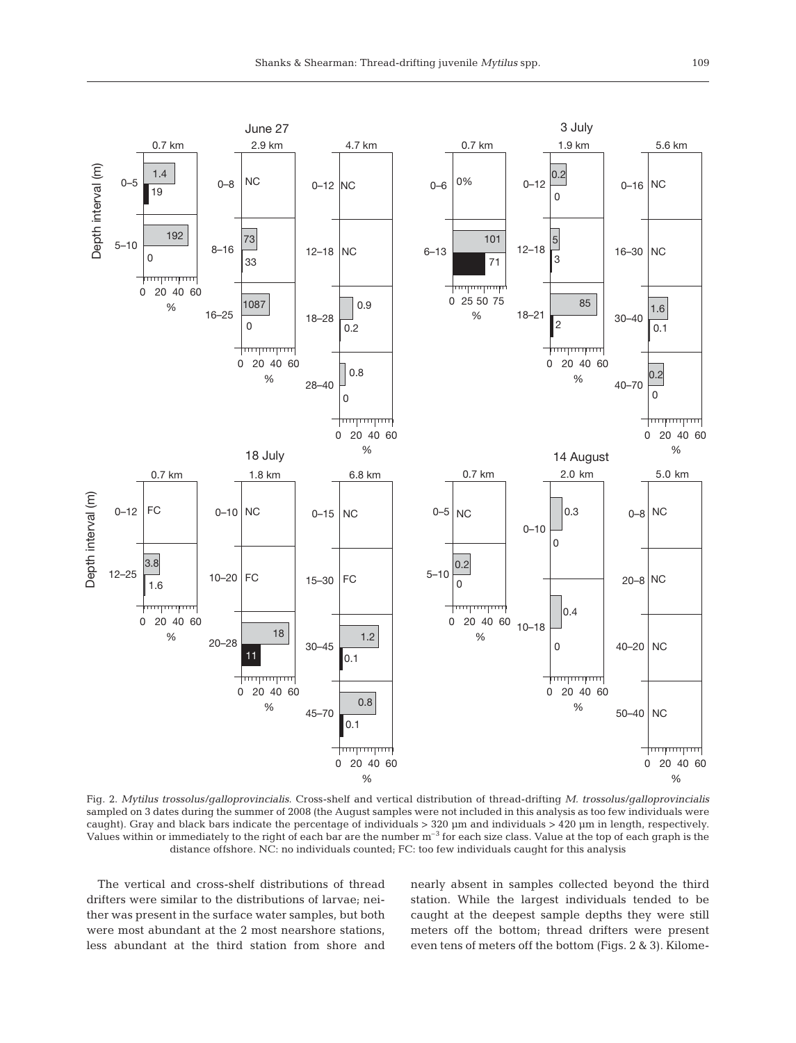

Fig. 2. *Mytilus trossolus/galloprovincialis*. Cross-shelf and vertical distribution of thread-drifting *M. trossolus/galloprovincialis* sampled on 3 dates during the summer of 2008 (the August samples were not included in this analysis as too few individuals were caught). Gray and black bars indicate the percentage of individuals > 320 μm and individuals > 420 μm in length, respectively. Values within or immediately to the right of each bar are the number  $m^{-3}$  for each size class. Value at the top of each graph is the distance offshore. NC: no individuals counted; FC: too few individuals caught for this analysis

The vertical and cross-shelf distributions of thread drifters were similar to the distributions of larvae; neither was present in the surface water samples, but both were most abundant at the 2 most nearshore stations, less abundant at the third station from shore and nearly absent in samples collected beyond the third station. While the largest individuals tended to be caught at the deepest sample depths they were still meters off the bottom; thread drifters were present even tens of meters off the bottom (Figs. 2 & 3). Kilome-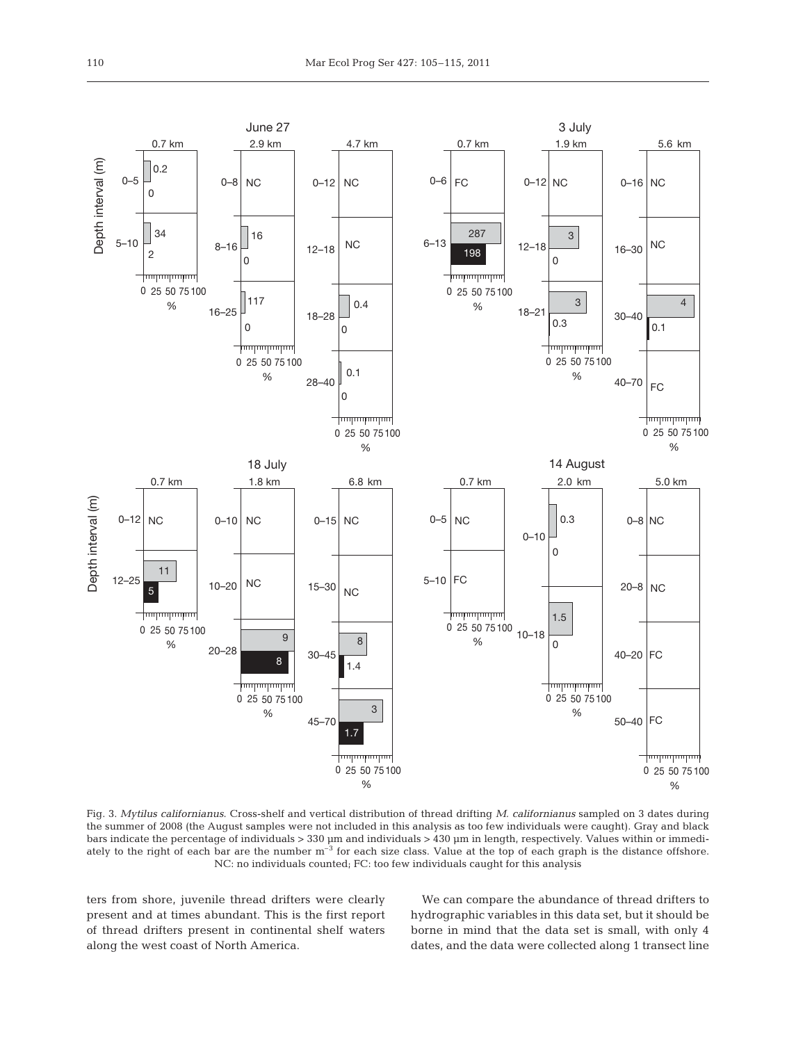

Fig. 3. *Mytilus californianus*. Cross-shelf and vertical distribution of thread drifting *M. californianus* sampled on 3 dates during the summer of 2008 (the August samples were not included in this analysis as too few individuals were caught). Gray and black bars indicate the percentage of individuals > 330 μm and individuals > 430 μm in length, respectively. Values within or immediately to the right of each bar are the number  $m^{-3}$  for each size class. Value at the top of each graph is the distance offshore. NC: no individuals counted; FC: too few individuals caught for this analysis

ters from shore, juvenile thread drifters were clearly present and at times abundant. This is the first report of thread drifters present in continental shelf waters along the west coast of North America.

We can compare the abundance of thread drifters to hydrographic variables in this data set, but it should be borne in mind that the data set is small, with only 4 dates, and the data were collected along 1 transect line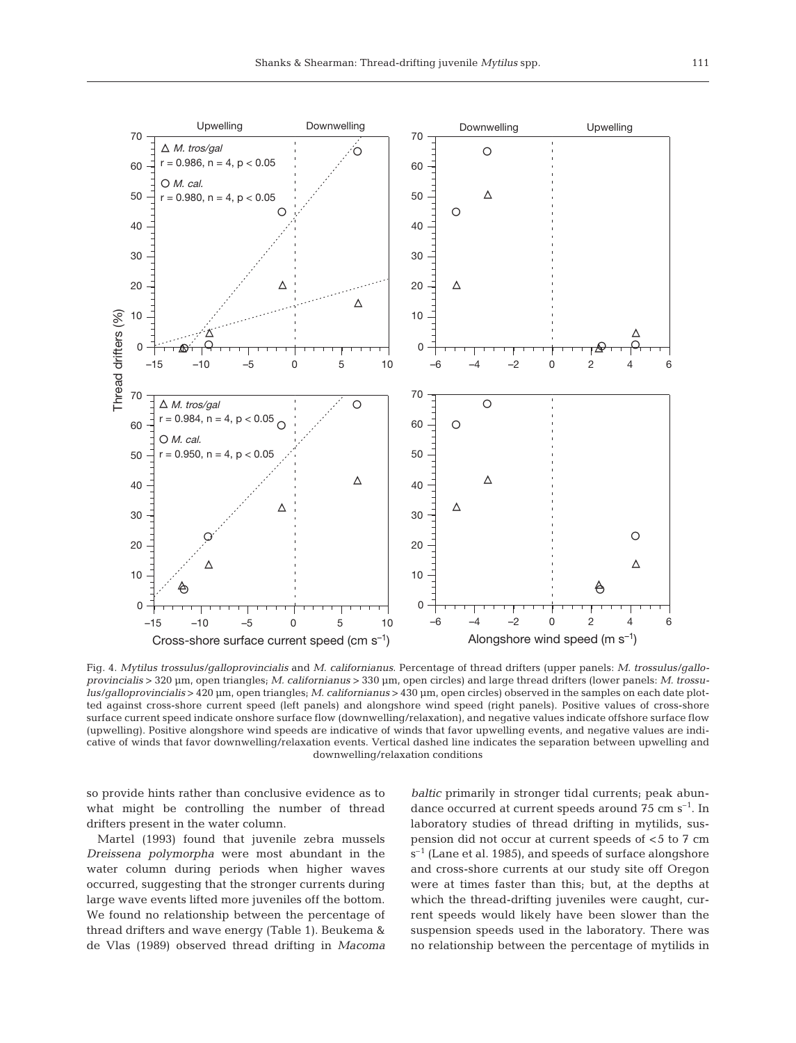

Fig. 4. *Mytilus trossulus/galloprovincialis* and *M. californianus*. Percentage of thread drifters (upper panels: *M. trossulus/galloprovincialis* > 320 μm, open triangles; *M. californianus* > 330 μm, open circles) and large thread drifters (lower panels: *M. trossulus/galloprovincialis* > 420 μm, open triangles; *M. californianus* > 430 μm, open circles) observed in the samples on each date plotted against cross-shore current speed (left panels) and alongshore wind speed (right panels). Positive values of cross-shore surface current speed indicate onshore surface flow (downwelling/relaxation), and negative values indicate offshore surface flow (upwelling). Positive alongshore wind speeds are indicative of winds that favor upwelling events, and negative values are indicative of winds that favor downwelling/relaxation events. Vertical dashed line indicates the separation between upwelling and downwelling/relaxation conditions

so provide hints rather than conclusive evidence as to what might be controlling the number of thread drifters present in the water column.

Martel (1993) found that juvenile zebra mussels *Dreissena polymorpha* were most abundant in the water column during periods when higher waves occurred, suggesting that the stronger currents during large wave events lifted more juveniles off the bottom. We found no relationship between the percentage of thread drifters and wave energy (Table 1). Beukema & de Vlas (1989) observed thread drifting in *Macoma* *baltic* primarily in stronger tidal currents; peak abundance occurred at current speeds around  $75 \text{ cm s}^{-1}$ . In laboratory studies of thread drifting in mytilids, suspension did not occur at current speeds of <5 to 7 cm  $s^{-1}$  (Lane et al. 1985), and speeds of surface alongshore and cross-shore currents at our study site off Oregon were at times faster than this; but, at the depths at which the thread-drifting juveniles were caught, current speeds would likely have been slower than the suspension speeds used in the laboratory. There was no relationship between the percentage of mytilids in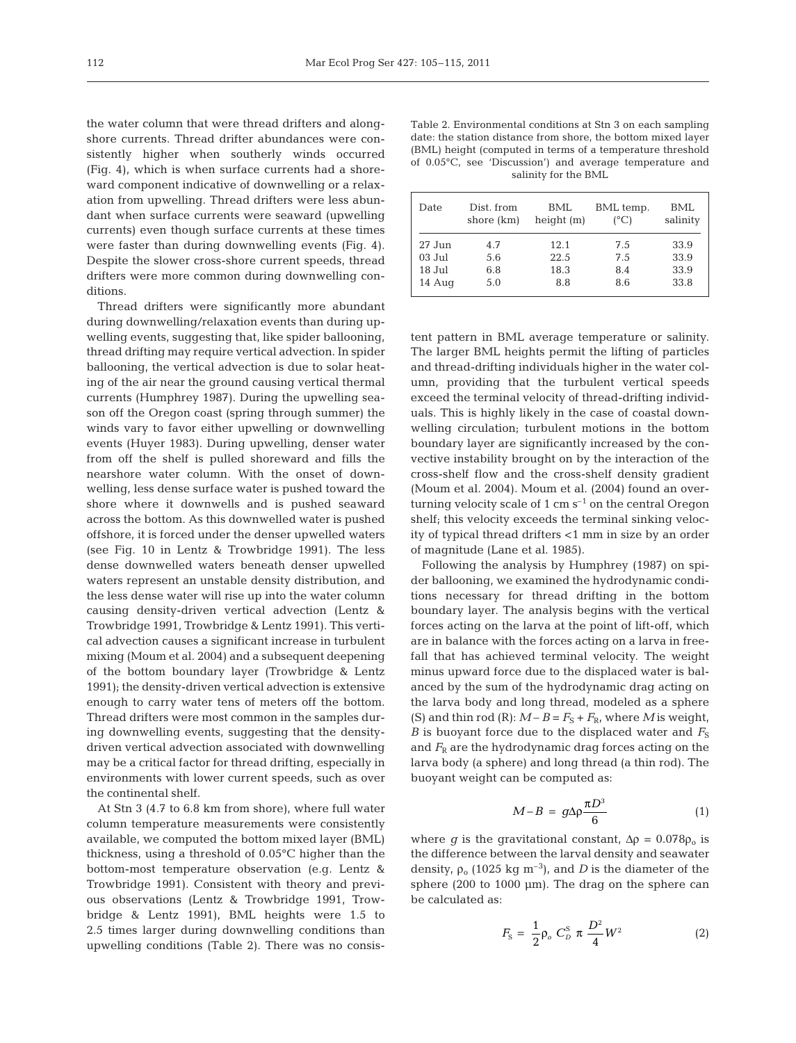the water column that were thread drifters and alongshore currents. Thread drifter abundances were consistently higher when southerly winds occurred (Fig. 4), which is when surface currents had a shoreward component indicative of downwelling or a relaxation from upwelling. Thread drifters were less abundant when surface currents were seaward (upwelling currents) even though surface currents at these times were faster than during downwelling events (Fig. 4). Despite the slower cross-shore current speeds, thread drifters were more common during downwelling conditions.

Thread drifters were significantly more abundant during downwelling/relaxation events than during upwelling events, suggesting that, like spider ballooning, thread drifting may require vertical advection. In spider ballooning, the vertical advection is due to solar heating of the air near the ground causing vertical thermal currents (Humphrey 1987). During the upwelling season off the Oregon coast (spring through summer) the winds vary to favor either upwelling or downwelling events (Huyer 1983). During upwelling, denser water from off the shelf is pulled shoreward and fills the nearshore water column. With the onset of downwelling, less dense surface water is pushed toward the shore where it downwells and is pushed seaward across the bottom. As this downwelled water is pushed offshore, it is forced under the denser up welled waters (see Fig. 10 in Lentz & Trowbridge 1991). The less dense downwelled waters beneath denser upwelled waters represent an unstable density distribution, and the less dense water will rise up into the water column causing density-driven vertical advection (Lentz & Trowbridge 1991, Trowbridge & Lentz 1991). This vertical advection causes a significant increase in turbulent mixing (Moum et al. 2004) and a subsequent deepening of the bottom boundary layer (Trowbridge & Lentz 1991); the density-driven vertical advection is extensive enough to carry water tens of meters off the bottom. Thread drifters were most common in the samples during downwelling events, suggesting that the densitydriven vertical advection associated with downwelling may be a critical factor for thread drifting, especially in environments with lower current speeds, such as over the continental shelf.

At Stn 3 (4.7 to 6.8 km from shore), where full water column temperature measurements were consistently available, we computed the bottom mixed layer (BML) thickness, using a threshold of 0.05°C higher than the bottom-most temperature observation (e.g. Lentz & Trowbridge 1991). Consistent with theory and previous observations (Lentz & Trowbridge 1991, Trowbridge & Lentz 1991), BML heights were 1.5 to 2.5 times larger during downwelling conditions than upwelling conditions (Table 2). There was no consis-

Table 2. Environmental conditions at Stn 3 on each sampling date: the station distance from shore, the bottom mixed layer (BML) height (computed in terms of a temperature threshold of 0.05°C, see 'Discussion') and average temperature and salinity for the BML

| Date     | Dist. from<br>shore (km) | BML<br>height (m) | BML temp.<br>$(^{\circ}C)$ | <b>BML</b><br>salinity |
|----------|--------------------------|-------------------|----------------------------|------------------------|
| $27$ Jun | 4.7                      | 12.1              | 7.5                        | 33.9                   |
| $03$ Jul | 5.6                      | 22.5              | 7.5                        | 33.9                   |
| $18$ Jul | 6.8                      | 18.3              | 8.4                        | 33.9                   |
| 14 Aug   | 5.0                      | 8.8               | 8.6                        | 33.8                   |

tent pattern in BML average temperature or salinity. The larger BML heights permit the lifting of particles and thread-drifting individuals higher in the water column, providing that the turbulent vertical speeds exceed the terminal velocity of thread-drifting individuals. This is highly likely in the case of coastal downwelling circulation; turbulent motions in the bottom boundary layer are significantly increased by the convective instability brought on by the interaction of the cross-shelf flow and the cross-shelf density gradient (Moum et al. 2004). Moum et al. (2004) found an overturning velocity scale of 1 cm  $s^{-1}$  on the central Oregon shelf; this velocity exceeds the terminal sinking velocity of typical thread drifters <1 mm in size by an order of magnitude (Lane et al. 1985).

Following the analysis by Humphrey (1987) on spider ballooning, we examined the hydrodynamic conditions necessary for thread drifting in the bottom boundary layer. The analysis begins with the vertical forces acting on the larva at the point of lift-off, which are in balance with the forces acting on a larva in freefall that has achieved terminal velocity. The weight minus upward force due to the displaced water is balanced by the sum of the hydrodynamic drag acting on the larva body and long thread, modeled as a sphere (S) and thin rod (R):  $M - B = F_S + F_R$ , where *M* is weight, *B* is buoyant force due to the displaced water and  $F<sub>S</sub>$ and  $F_R$  are the hydrodynamic drag forces acting on the larva body (a sphere) and long thread (a thin rod). The buoyant weight can be computed as:

$$
M - B = g \Delta \rho \frac{\pi D^3}{6} \tag{1}
$$

where *g* is the gravitational constant,  $\Delta \rho = 0.078 \rho_o$  is the difference between the larval density and seawater density,  $\rho_0$  (1025 kg m<sup>-3</sup>), and *D* is the diameter of the sphere (200 to 1000 μm). The drag on the sphere can be calculated as:

$$
F_{\rm S} = \frac{1}{2} \rho_o \ C_D^{\rm S} \ \pi \ \frac{D^2}{4} W^2 \tag{2}
$$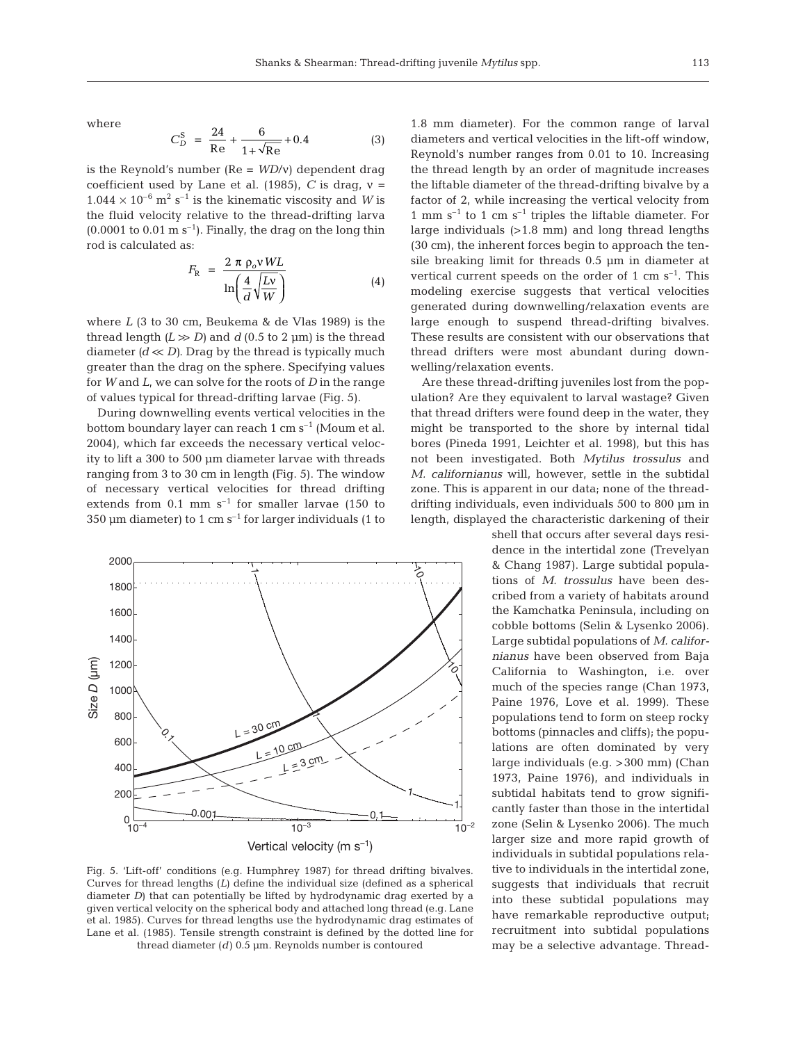where

$$
C_D^{\rm S} = \frac{24}{\text{Re}} + \frac{6}{1 + \sqrt{\text{Re}}} + 0.4 \tag{3}
$$

is the Reynold's number (Re = *WD*/ν) dependent drag coefficient used by Lane et al. (1985), *C* is drag,  $v =$  $1.044 \times 10^{-6}$  m<sup>2</sup> s<sup>-1</sup> is the kinematic viscosity and *W* is the fluid velocity relative to the thread-drifting larva  $(0.0001 \text{ to } 0.01 \text{ m s}^{-1})$ . Finally, the drag on the long thin rod is calculated as:

$$
F_{\rm R} = \frac{2 \pi \rho_o v WL}{\ln\left(\frac{4}{d}\sqrt{\frac{Lv}{W}}\right)}
$$
(4)

where *L* (3 to 30 cm, Beukema & de Vlas 1989) is the thread length  $(L \gg D)$  and  $d$  (0.5 to 2 µm) is the thread diameter  $(d \ll D)$ . Drag by the thread is typically much greater than the drag on the sphere. Specifying values for *W* and *L*, we can solve for the roots of *D* in the range of values typical for thread-drifting larvae (Fig. 5).

During downwelling events vertical velocities in the bottom boundary layer can reach 1 cm  $s^{-1}$  (Moum et al. 2004), which far exceeds the necessary vertical velocity to lift a 300 to 500 μm diameter larvae with threads ranging from 3 to 30 cm in length (Fig. 5). The window of necessary vertical velocities for thread drifting extends from  $0.1$  mm s<sup>-1</sup> for smaller larvae (150 to 350 μm diameter) to 1 cm  $s^{-1}$  for larger individuals (1 to



Fig. 5. 'Lift-off' conditions (e.g. Humphrey 1987) for thread drifting bivalves. Curves for thread lengths (*L*) define the individual size (defined as a spherical diameter *D*) that can potentially be lifted by hydrodynamic drag exerted by a given vertical velocity on the spherical body and attached long thread (e.g. Lane et al. 1985). Curves for thread lengths use the hydrodynamic drag estimates of Lane et al. (1985). Tensile strength constraint is defined by the dotted line for thread diameter (*d*) 0.5 μm. Reynolds number is contoured

1.8 mm diameter). For the common range of larval diameters and vertical velocities in the lift-off window, Reynold's number ranges from 0.01 to 10. Increasing the thread length by an order of magnitude increases the liftable diameter of the thread-drifting bivalve by a factor of 2, while increasing the vertical velocity from 1 mm  $s^{-1}$  to 1 cm  $s^{-1}$  triples the liftable diameter. For large individuals (>1.8 mm) and long thread lengths (30 cm), the inherent forces begin to approach the tensile breaking limit for threads 0.5 μm in diameter at vertical current speeds on the order of 1 cm  $s^{-1}$ . This modeling exercise suggests that vertical velocities generated during downwelling/relaxation events are large enough to suspend thread-drifting bivalves. These results are consistent with our observations that thread drifters were most abundant during downwelling/relaxation events.

Are these thread-drifting juveniles lost from the population? Are they equivalent to larval wastage? Given that thread drifters were found deep in the water, they might be transported to the shore by internal tidal bores (Pineda 1991, Leichter et al. 1998), but this has not been investigated. Both *Mytilus trossulus* and *M. californianus* will, however, settle in the subtidal zone. This is apparent in our data; none of the threaddrifting individuals, even individuals 500 to 800 μm in length, displayed the characteristic darkening of their

> shell that occurs after several days residence in the intertidal zone (Trevelyan & Chang 1987). Large subtidal populations of *M. trossulus* have been described from a variety of habitats around the Kamchatka Peninsula, including on cobble bottoms (Selin & Lysenko 2006). Large subtidal populations of *M. californianus* have been observed from Baja California to Washington, i.e. over much of the species range (Chan 1973, Paine 1976, Love et al. 1999). These populations tend to form on steep rocky bottoms (pinnacles and cliffs); the populations are often dominated by very large individuals (e.g. >300 mm) (Chan 1973, Paine 1976), and individuals in subtidal habitats tend to grow significantly faster than those in the intertidal zone (Selin & Lysenko 2006). The much larger size and more rapid growth of individuals in subtidal populations relative to individuals in the intertidal zone, suggests that individuals that recruit into these subtidal populations may have remarkable reproductive output; recruitment into subtidal populations may be a selective advantage. Thread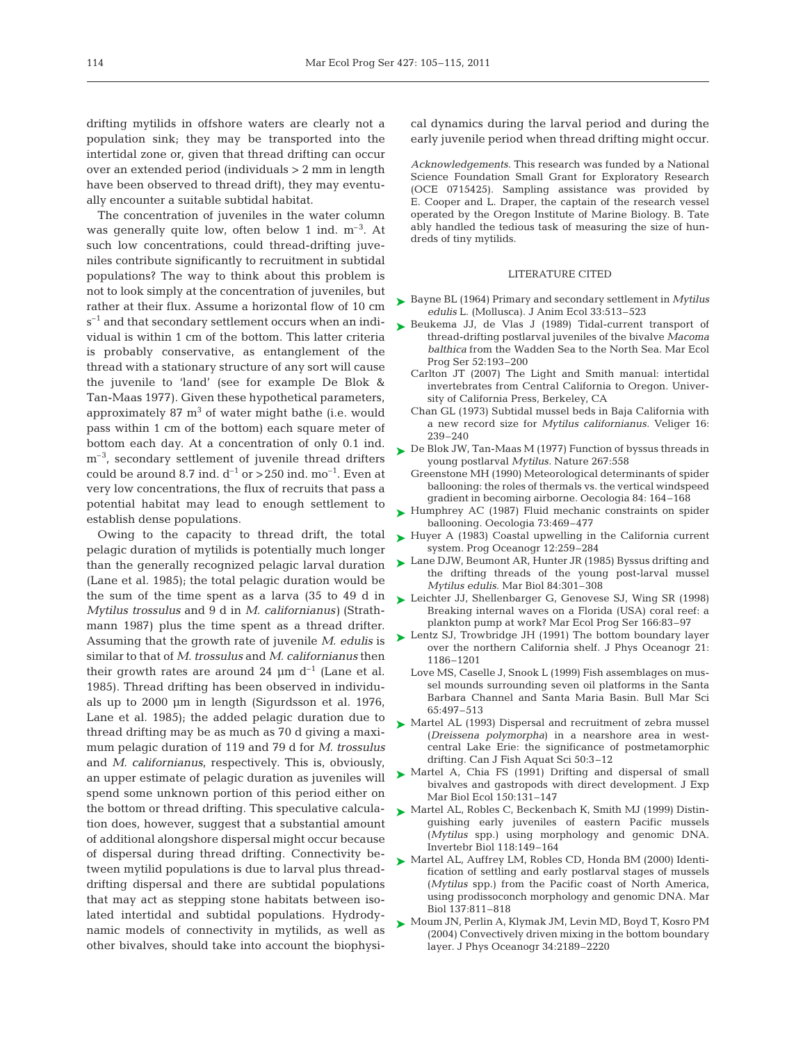drifting mytilids in offshore waters are clearly not a population sink; they may be transported into the intertidal zone or, given that thread drifting can occur over an extended period (individuals > 2 mm in length have been observed to thread drift), they may eventually encounter a suitable subtidal habitat.

The concentration of juveniles in the water column was generally quite low, often below 1 ind. m–3. At such low concentrations, could thread-drifting juveniles contribute significantly to recruitment in subtidal populations? The way to think about this problem is not to look simply at the concentration of juveniles, but rather at their flux. Assume a horizontal flow of 10 cm  $s^{-1}$  and that secondary settlement occurs when an individual is within 1 cm of the bottom. This latter criteria is probably conservative, as entanglement of the thread with a stationary structure of any sort will cause the juvenile to 'land' (see for example De Blok & Tan-Maas 1977). Given these hypothetical parameters, approximately  $87 \text{ m}^3$  of water might bathe (i.e. would pass within 1 cm of the bottom) each square meter of bottom each day. At a concentration of only 0.1 ind.  $m<sup>-3</sup>$ , secondary settlement of juvenile thread drifters could be around 8.7 ind.  $d^{-1}$  or > 250 ind. mo<sup>-1</sup>. Even at very low concentrations, the flux of recruits that pass a potential habitat may lead to enough settlement to establish dense populations.

Owing to the capacity to thread drift, the total pelagic duration of mytilids is potentially much longer than the generally recognized pelagic larval duration (Lane et al. 1985); the total pelagic duration would be the sum of the time spent as a larva (35 to 49 d in *Mytilus trossulus* and 9 d in *M. californianus)* (Strathmann 1987) plus the time spent as a thread drifter. Assuming that the growth rate of juvenile *M. edulis* is similar to that of *M. trossulus* and *M. californianus* then their growth rates are around 24  $\mu$ m d<sup>-1</sup> (Lane et al. 1985). Thread drifting has been observed in individuals up to 2000 μm in length (Sigurdsson et al. 1976, Lane et al. 1985); the added pelagic duration due to thread drifting may be as much as 70 d giving a maximum pelagic duration of 119 and 79 d for *M. trossulus* and *M. californianus*, respectively. This is, obviously, an upper estimate of pelagic duration as juveniles will spend some unknown portion of this period either on the bottom or thread drifting. This speculative calculation does, however, suggest that a substantial amount of additional alongshore dispersal might occur because of dispersal during thread drifting. Connectivity be tween mytilid populations is due to larval plus threaddrifting dispersal and there are subtidal populations that may act as stepping stone habitats between isolated intertidal and subtidal populations. Hydrodynamic models of connectivity in mytilids, as well as other bivalves, should take into account the biophysical dynamics during the larval period and during the early juvenile period when thread drifting might occur.

*Acknowledgements.* This research was funded by a National Science Foundation Small Grant for Exploratory Research (OCE 0715425). Sampling assistance was provided by E. Cooper and L. Draper, the captain of the research vessel operated by the Oregon Institute of Marine Biology. B. Tate ably handled the tedious task of measuring the size of hundreds of tiny mytilids.

### LITERATURE CITED

- Bayne BL (1964) Primary and secondary settlement in *Mytilus* ➤ *edulis* L. (Mollusca). J Anim Ecol 33:513–523
- ▶ Beukema JJ, de Vlas J (1989) Tidal-current transport of thread-drifting postlarval juveniles of the bivalve *Macoma balthica* from the Wadden Sea to the North Sea. Mar Ecol Prog Ser 52:193–200
	- Carlton JT (2007) The Light and Smith manual: intertidal invertebrates from Central California to Oregon. University of California Press, Berkeley, CA
	- Chan GL (1973) Subtidal mussel beds in Baja California with a new record size for *Mytilus californianus.* Veliger 16: 239–240
- ► De Blok JW, Tan-Maas M (1977) Function of byssus threads in young postlarval *Mytilus.* Nature 267:558
	- Greenstone MH (1990) Meteorological determinants of spider ballooning: the roles of thermals vs. the vertical windspeed gradient in becoming airborne. Oecologia 84: 164–168
- ► Humphrey AC (1987) Fluid mechanic constraints on spider ballooning. Oecologia 73:469–477
- ► Huyer A (1983) Coastal upwelling in the California current system. Prog Oceanogr 12:259–284
- ► Lane DJW, Beumont AR, Hunter JR (1985) Byssus drifting and the drifting threads of the young post-larval mussel *Mytilus edulis.* Mar Biol 84:301–308
- ► Leichter JJ, Shellenbarger G, Genovese SJ, Wing SR (1998) Breaking internal waves on a Florida (USA) coral reef: a plankton pump at work? Mar Ecol Prog Ser 166:83–97
- ► Lentz SJ, Trowbridge JH (1991) The bottom boundary layer over the northern California shelf. J Phys Oceanogr 21: 1186–1201
	- Love MS, Caselle J, Snook L (1999) Fish assemblages on mussel mounds surrounding seven oil platforms in the Santa Barbara Channel and Santa Maria Basin. Bull Mar Sci 65:497–513
- ▶ Martel AL (1993) Dispersal and recruitment of zebra mussel (*Dreissena polymorpha*) in a nearshore area in westcentral Lake Erie: the significance of postmetamorphic drifting. Can J Fish Aquat Sci 50:3–12
- ▶ Martel A, Chia FS (1991) Drifting and dispersal of small bivalves and gastropods with direct development. J Exp Mar Biol Ecol 150:131–147
- Martel AL, Robles C, Beckenbach K, Smith MJ (1999) Distin-➤ guishing early juveniles of eastern Pacific mussels (*Mytilus* spp.) using morphology and genomic DNA. Invertebr Biol 118:149–164
- Martel AL, Auffrey LM, Robles CD, Honda BM (2000) Identi-➤ fication of settling and early postlarval stages of mussels (*Mytilus* spp.) from the Pacific coast of North America, using prodissoconch morphology and genomic DNA. Mar Biol 137:811–818
- Moum JN, Perlin A, Klymak JM, Levin MD, Boyd T, Kosro PM ➤(2004) Convectively driven mixing in the bottom boundary layer. J Phys Oceanogr 34:2189–2220